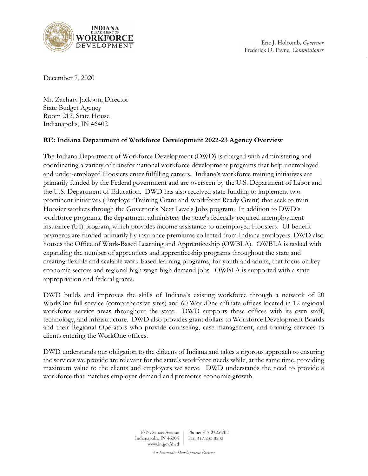

December 7, 2020

Mr. Zachary Jackson, Director State Budget Agency Room 212, State House Indianapolis, IN 46402

### RE: Indiana Department of Workforce Development 2022-23 Agency Overview

The Indiana Department of Workforce Development (DWD) is charged with administering and coordinating a variety of transformational workforce development programs that help unemployed and under-employed Hoosiers enter fulfilling careers. Indiana's workforce training initiatives are primarily funded by the Federal government and are overseen by the U.S. Department of Labor and the U.S. Department of Education. DWD has also received state funding to implement two prominent initiatives (Employer Training Grant and Workforce Ready Grant) that seek to train Hoosier workers through the Governor's Next Levels Jobs program. In addition to DWD's workforce programs, the department administers the state's federally-required unemployment insurance (UI) program, which provides income assistance to unemployed Hoosiers. UI benefit payments are funded primarily by insurance premiums collected from Indiana employers. DWD also houses the Office of Work-Based Learning and Apprenticeship (OWBLA). OWBLA is tasked with expanding the number of apprentices and apprenticeship programs throughout the state and creating flexible and scalable work-based learning programs, for youth and adults, that focus on key economic sectors and regional high wage-high demand jobs. OWBLA is supported with a state appropriation and federal grants.

DWD builds and improves the skills of Indiana's existing workforce through a network of 20 WorkOne full service (comprehensive sites) and 60 WorkOne affiliate offices located in 12 regional workforce service areas throughout the state. DWD supports these offices with its own staff, technology, and infrastructure. DWD also provides grant dollars to Workforce Development Boards and their Regional Operators who provide counseling, case management, and training services to clients entering the WorkOne offices.

DWD understands our obligation to the citizens of Indiana and takes a rigorous approach to ensuring the services we provide are relevant for the state's workforce needs while, at the same time, providing maximum value to the clients and employers we serve. DWD understands the need to provide a workforce that matches employer demand and promotes economic growth.

> 10 N. Senate Avenue Phone: 317.232.6702 Indianapolis, IN 46204 Fax: 317.233.0232 www.in.gov/dwd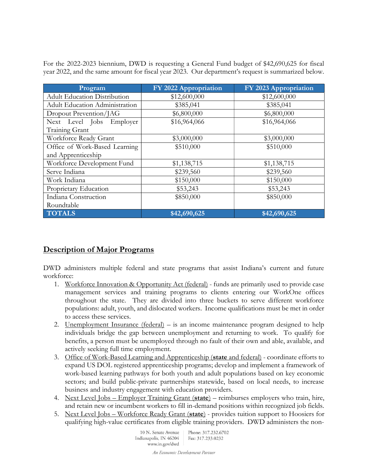For the 2022-2023 biennium, DWD is requesting a General Fund budget of \$42,690,625 for fiscal year 2022, and the same amount for fiscal year 2023. Our department's request is summarized below.

| Program                               | FY 2022 Appropriation | FY 2023 Appropriation |
|---------------------------------------|-----------------------|-----------------------|
| <b>Adult Education Distribution</b>   | \$12,600,000          | \$12,600,000          |
| <b>Adult Education Administration</b> | \$385,041             | \$385,041             |
| Dropout Prevention/JAG                | \$6,800,000           | \$6,800,000           |
| Next Level Jobs Employer              | \$16,964,066          | \$16,964,066          |
| Training Grant                        |                       |                       |
| Workforce Ready Grant                 | \$3,000,000           | \$3,000,000           |
| Office of Work-Based Learning         | \$510,000             | \$510,000             |
| and Apprenticeship                    |                       |                       |
| Workforce Development Fund            | \$1,138,715           | \$1,138,715           |
| Serve Indiana                         | \$239,560             | \$239,560             |
| Work Indiana                          | \$150,000             | \$150,000             |
| Proprietary Education                 | \$53,243              | \$53,243              |
| Indiana Construction                  | \$850,000             | \$850,000             |
| Roundtable                            |                       |                       |
| <b>TOTALS</b>                         | \$42,690,625          | \$42,690,625          |

## Description of Major Programs

DWD administers multiple federal and state programs that assist Indiana's current and future workforce:

- 1. Workforce Innovation & Opportunity Act (federal) funds are primarily used to provide case management services and training programs to clients entering our WorkOne offices throughout the state. They are divided into three buckets to serve different workforce populations: adult, youth, and dislocated workers. Income qualifications must be met in order to access these services.
- 2. Unemployment Insurance (federal) is an income maintenance program designed to help individuals bridge the gap between unemployment and returning to work. To qualify for benefits, a person must be unemployed through no fault of their own and able, available, and actively seeking full time employment.
- 3. Office of Work-Based Learning and Apprenticeship (state and federal) coordinate efforts to expand US DOL registered apprenticeship programs; develop and implement a framework of work-based learning pathways for both youth and adult populations based on key economic sectors; and build public-private partnerships statewide, based on local needs, to increase business and industry engagement with education providers.
- 4. Next Level Jobs Employer Training Grant (state) reimburses employers who train, hire, and retain new or incumbent workers to fill in-demand positions within recognized job fields.
- 5. Next Level Jobs Workforce Ready Grant (state) provides tuition support to Hoosiers for qualifying high-value certificates from eligible training providers. DWD administers the non-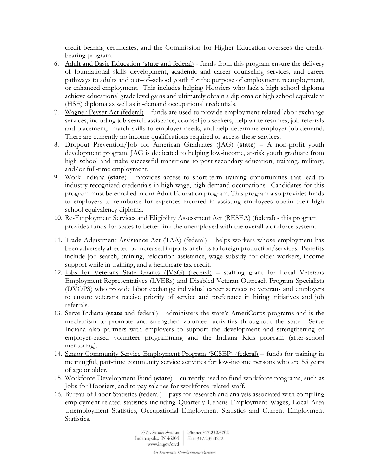credit bearing certificates, and the Commission for Higher Education oversees the creditbearing program.

- 6. Adult and Basic Education (state and federal) funds from this program ensure the delivery of foundational skills development, academic and career counseling services, and career pathways to adults and out–of–school youth for the purpose of employment, reemployment, or enhanced employment. This includes helping Hoosiers who lack a high school diploma achieve educational grade level gains and ultimately obtain a diploma or high school equivalent (HSE) diploma as well as in-demand occupational credentials.
- 7. Wagner-Peyser Act (federal) funds are used to provide employment-related labor exchange services, including job search assistance, counsel job seekers, help write resumes, job referrals and placement, match skills to employer needs, and help determine employer job demand. There are currently no income qualifications required to access these services.
- 8. Dropout Prevention/Job for American Graduates  $(AG)$  (state) A non-profit youth development program, JAG is dedicated to helping low-income, at-risk youth graduate from high school and make successful transitions to post-secondary education, training, military, and/or full-time employment.
- 9. Work Indiana  $(\text{state})$  provides access to short-term training opportunities that lead to industry recognized credentials in high-wage, high-demand occupations. Candidates for this program must be enrolled in our Adult Education program. This program also provides funds to employers to reimburse for expenses incurred in assisting employees obtain their high school equivalency diploma.
- 10. Re-Employment Services and Eligibility Assessment Act (RESEA) (federal) this program provides funds for states to better link the unemployed with the overall workforce system.
- 11. Trade Adjustment Assistance Act (TAA) (federal) helps workers whose employment has been adversely affected by increased imports or shifts to foreign production/services. Benefits include job search, training, relocation assistance, wage subsidy for older workers, income support while in training, and a healthcare tax credit.
- 12. Jobs for Veterans State Grants (JVSG) (federal) staffing grant for Local Veterans Employment Representatives (LVERs) and Disabled Veteran Outreach Program Specialists (DVOPS) who provide labor exchange individual career services to veterans and employers to ensure veterans receive priority of service and preference in hiring initiatives and job referrals.
- 13. Serve Indiana (state and federal) administers the state's AmeriCorps programs and is the mechanism to promote and strengthen volunteer activities throughout the state. Serve Indiana also partners with employers to support the development and strengthening of employer-based volunteer programming and the Indiana Kids program (after-school mentoring).
- 14. Senior Community Service Employment Program (SCSEP) (federal) funds for training in meaningful, part-time community service activities for low-income persons who are 55 years of age or older.
- 15. Workforce Development Fund (state) currently used to fund workforce programs, such as Jobs for Hoosiers, and to pay salaries for workforce related staff.
- 16. Bureau of Labor Statistics (federal) pays for research and analysis associated with compiling employment-related statistics including Quarterly Census Employment Wages, Local Area Unemployment Statistics, Occupational Employment Statistics and Current Employment Statistics.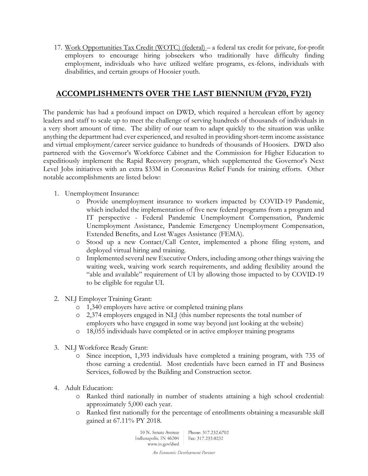17. Work Opportunities Tax Credit (WOTC) (federal) – a federal tax credit for private, for-profit employers to encourage hiring jobseekers who traditionally have difficulty finding employment, individuals who have utilized welfare programs, ex-felons, individuals with disabilities, and certain groups of Hoosier youth.

## ACCOMPLISHMENTS OVER THE LAST BIENNIUM (FY20, FY21)

The pandemic has had a profound impact on DWD, which required a herculean effort by agency leaders and staff to scale up to meet the challenge of serving hundreds of thousands of individuals in a very short amount of time. The ability of our team to adapt quickly to the situation was unlike anything the department had ever experienced, and resulted in providing short-term income assistance and virtual employment/career service guidance to hundreds of thousands of Hoosiers. DWD also partnered with the Governor's Workforce Cabinet and the Commission for Higher Education to expeditiously implement the Rapid Recovery program, which supplemented the Governor's Next Level Jobs initiatives with an extra \$33M in Coronavirus Relief Funds for training efforts. Other notable accomplishments are listed below:

- 1. Unemployment Insurance:
	- o Provide unemployment insurance to workers impacted by COVID-19 Pandemic, which included the implementation of five new federal programs from a program and IT perspective - Federal Pandemic Unemployment Compensation, Pandemic Unemployment Assistance, Pandemic Emergency Unemployment Compensation, Extended Benefits, and Lost Wages Assistance (FEMA).
	- o Stood up a new Contact/Call Center, implemented a phone filing system, and deployed virtual hiring and training.
	- o Implemented several new Executive Orders, including among other things waiving the waiting week, waiving work search requirements, and adding flexibility around the "able and available" requirement of UI by allowing those impacted to by COVID-19 to be eligible for regular UI.
- 2. NLJ Employer Training Grant:
	- o 1,340 employers have active or completed training plans
	- o 2,374 employers engaged in NLJ (this number represents the total number of employers who have engaged in some way beyond just looking at the website)
	- o 18,055 individuals have completed or in active employer training programs
- 3. NLJ Workforce Ready Grant:
	- o Since inception, 1,393 individuals have completed a training program, with 735 of those earning a credential. Most credentials have been earned in IT and Business Services, followed by the Building and Construction sector.
- 4. Adult Education:
	- o Ranked third nationally in number of students attaining a high school credential: approximately 5,000 each year.
	- o Ranked first nationally for the percentage of enrollments obtaining a measurable skill gained at 67.11% PY 2018.

10 N. Senate Avenue Phone: 317.232.6702 Indianapolis, IN 46204 Fax: 317.233.0232 www.in.gov/dwd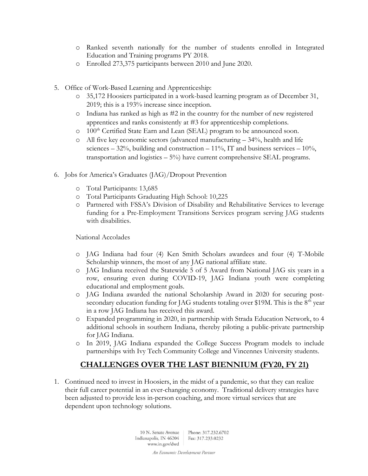- o Ranked seventh nationally for the number of students enrolled in Integrated Education and Training programs PY 2018.
- o Enrolled 273,375 participants between 2010 and June 2020.
- 5. Office of Work-Based Learning and Apprenticeship:
	- o 35,172 Hoosiers participated in a work-based learning program as of December 31, 2019; this is a 193% increase since inception.
	- o Indiana has ranked as high as #2 in the country for the number of new registered apprentices and ranks consistently at #3 for apprenticeship completions.
	- o 100th Certified State Earn and Lean (SEAL) program to be announced soon.
	- o All five key economic sectors (advanced manufacturing 34%, health and life sciences –  $32\%$ , building and construction –  $11\%$ , IT and business services –  $10\%$ , transportation and logistics  $-5\%$ ) have current comprehensive SEAL programs.
- 6. Jobs for America's Graduates (JAG)/Dropout Prevention
	- o Total Participants: 13,685
	- o Total Participants Graduating High School: 10,225
	- o Partnered with FSSA's Division of Disability and Rehabilitative Services to leverage funding for a Pre-Employment Transitions Services program serving JAG students with disabilities.

National Accolades

- o JAG Indiana had four (4) Ken Smith Scholars awardees and four (4) T-Mobile Scholarship winners, the most of any JAG national affiliate state.
- o JAG Indiana received the Statewide 5 of 5 Award from National JAG six years in a row, ensuring even during COVID-19, JAG Indiana youth were completing educational and employment goals.
- o JAG Indiana awarded the national Scholarship Award in 2020 for securing postsecondary education funding for JAG students totaling over \$19M. This is the  $8<sup>th</sup>$  year in a row JAG Indiana has received this award.
- o Expanded programming in 2020, in partnership with Strada Education Network, to 4 additional schools in southern Indiana, thereby piloting a public-private partnership for JAG Indiana.
- o In 2019, JAG Indiana expanded the College Success Program models to include partnerships with Ivy Tech Community College and Vincennes University students.

## CHALLENGES OVER THE LAST BIENNIUM (FY20, FY 21)

1. Continued need to invest in Hoosiers, in the midst of a pandemic, so that they can realize their full career potential in an ever-changing economy. Traditional delivery strategies have been adjusted to provide less in-person coaching, and more virtual services that are dependent upon technology solutions.

> 10 N. Senate Avenue | Phone: 317.232.6702 Indianapolis, IN 46204 Fax: 317.233.0232 www.in.gov/dwd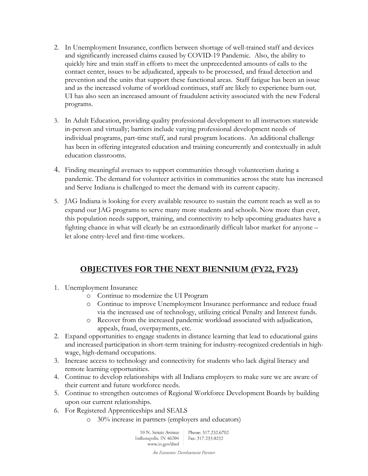- 2. In Unemployment Insurance, conflicts between shortage of well-trained staff and devices and significantly increased claims caused by COVID-19 Pandemic. Also, the ability to quickly hire and train staff in efforts to meet the unprecedented amounts of calls to the contact center, issues to be adjudicated, appeals to be processed, and fraud detection and prevention and the units that support these functional areas. Staff fatigue has been an issue and as the increased volume of workload continues, staff are likely to experience burn out. UI has also seen an increased amount of fraudulent activity associated with the new Federal programs.
- 3. In Adult Education, providing quality professional development to all instructors statewide in-person and virtually; barriers include varying professional development needs of individual programs, part-time staff, and rural program locations. An additional challenge has been in offering integrated education and training concurrently and contextually in adult education classrooms.
- 4. Finding meaningful avenues to support communities through volunteerism during a pandemic. The demand for volunteer activities in communities across the state has increased and Serve Indiana is challenged to meet the demand with its current capacity.
- 5. JAG Indiana is looking for every available resource to sustain the current reach as well as to expand our JAG programs to serve many more students and schools. Now more than ever, this population needs support, training, and connectivity to help upcoming graduates have a fighting chance in what will clearly be an extraordinarily difficult labor market for anyone – let alone entry-level and first-time workers.

# OBJECTIVES FOR THE NEXT BIENNIUM (FY22, FY23)

- 1. Unemployment Insurance
	- o Continue to modernize the UI Program
	- o Continue to improve Unemployment Insurance performance and reduce fraud via the increased use of technology, utilizing critical Penalty and Interest funds.
	- o Recover from the increased pandemic workload associated with adjudication, appeals, fraud, overpayments, etc.
- 2. Expand opportunities to engage students in distance learning that lead to educational gains and increased participation in short-term training for industry-recognized credentials in highwage, high-demand occupations.
- 3. Increase access to technology and connectivity for students who lack digital literacy and remote learning opportunities.
- 4. Continue to develop relationships with all Indiana employers to make sure we are aware of their current and future workforce needs.
- 5. Continue to strengthen outcomes of Regional Workforce Development Boards by building upon our current relationships.
- 6. For Registered Apprenticeships and SEALS
	- o 30% increase in partners (employers and educators)

10 N. Senate Avenue Phone: 317.232.6702 Indianapolis, IN 46204 Fax: 317.233.0232 www.in.gov/dwd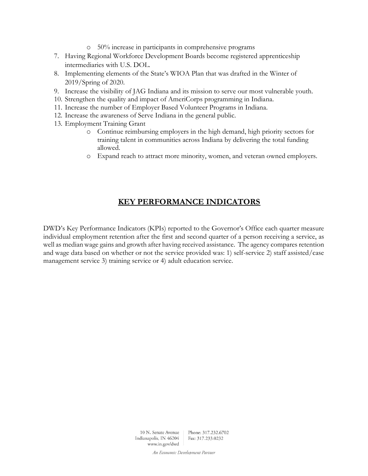- o 50% increase in participants in comprehensive programs
- 7. Having Regional Workforce Development Boards become registered apprenticeship intermediaries with U.S. DOL.
- 8. Implementing elements of the State's WIOA Plan that was drafted in the Winter of 2019/Spring of 2020.
- 9. Increase the visibility of JAG Indiana and its mission to serve our most vulnerable youth.
- 10. Strengthen the quality and impact of AmeriCorps programming in Indiana.
- 11. Increase the number of Employer Based Volunteer Programs in Indiana.
- 12. Increase the awareness of Serve Indiana in the general public.
- 13. Employment Training Grant
	- o Continue reimbursing employers in the high demand, high priority sectors for training talent in communities across Indiana by delivering the total funding allowed.
	- o Expand reach to attract more minority, women, and veteran owned employers.

## KEY PERFORMANCE INDICATORS

DWD's Key Performance Indicators (KPIs) reported to the Governor's Office each quarter measure individual employment retention after the first and second quarter of a person receiving a service, as well as median wage gains and growth after having received assistance. The agency compares retention and wage data based on whether or not the service provided was: 1) self-service 2) staff assisted/case management service 3) training service or 4) adult education service.

> 10 N. Senate Avenue Phone: 317.232.6702 Indianapolis, IN 46204 Fax: 317.233.0232 www.in.gov/dwd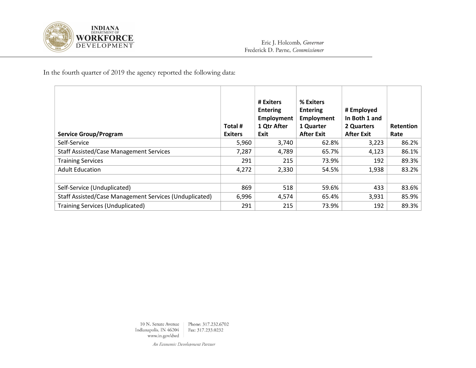

In the fourth quarter of 2019 the agency reported the following data:

| <b>Service Group/Program</b>                           | Total #<br><b>Exiters</b> | # Exiters<br><b>Entering</b><br>Employment<br>1 Qtr After<br>Exit | % Exiters<br><b>Entering</b><br>Employment<br>1 Quarter<br><b>After Exit</b> | # Employed<br>In Both 1 and<br>2 Quarters<br><b>After Exit</b> | <b>Retention</b><br>Rate |
|--------------------------------------------------------|---------------------------|-------------------------------------------------------------------|------------------------------------------------------------------------------|----------------------------------------------------------------|--------------------------|
| Self-Service                                           | 5,960                     | 3,740                                                             | 62.8%                                                                        | 3,223                                                          | 86.2%                    |
| <b>Staff Assisted/Case Management Services</b>         | 7,287                     | 4,789                                                             | 65.7%                                                                        | 4,123                                                          | 86.1%                    |
| <b>Training Services</b>                               | 291                       | 215                                                               | 73.9%                                                                        | 192                                                            | 89.3%                    |
| <b>Adult Education</b>                                 | 4,272                     | 2,330                                                             | 54.5%                                                                        | 1,938                                                          | 83.2%                    |
|                                                        |                           |                                                                   |                                                                              |                                                                |                          |
| Self-Service (Unduplicated)                            | 869                       | 518                                                               | 59.6%                                                                        | 433                                                            | 83.6%                    |
| Staff Assisted/Case Management Services (Unduplicated) | 6,996                     | 4,574                                                             | 65.4%                                                                        | 3,931                                                          | 85.9%                    |
| <b>Training Services (Unduplicated)</b>                | 291                       | 215                                                               | 73.9%                                                                        | 192                                                            | 89.3%                    |

10 N. Senate Avenue Phone: 317.232.6702 Indianapolis, IN 46204 Fax: 317.233.0232 www.in.gov/dwd